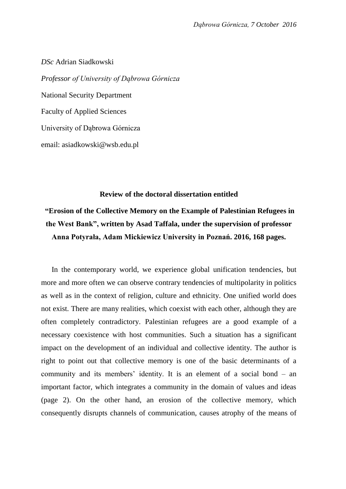*DSc* Adrian Siadkowski *Professor of University of Dąbrowa Górnicza* National Security Department Faculty of Applied Sciences University of Dąbrowa Górnicza email: asiadkowski@wsb.edu.pl

## **Review of the doctoral dissertation entitled**

# **"Erosion of the Collective Memory on the Example of Palestinian Refugees in the West Bank", written by Asad Taffala, under the supervision of professor Anna Potyrała, Adam Mickiewicz University in Poznań. 2016, 168 pages.**

In the contemporary world, we experience global unification tendencies, but more and more often we can observe contrary tendencies of multipolarity in politics as well as in the context of religion, culture and ethnicity. One unified world does not exist. There are many realities, which coexist with each other, although they are often completely contradictory. Palestinian refugees are a good example of a necessary coexistence with host communities. Such a situation has a significant impact on the development of an individual and collective identity. The author is right to point out that collective memory is one of the basic determinants of a community and its members' identity. It is an element of a social bond – an important factor, which integrates a community in the domain of values and ideas (page 2). On the other hand, an erosion of the collective memory, which consequently disrupts channels of communication, causes atrophy of the means of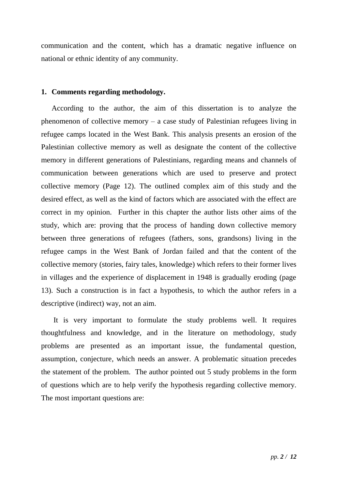communication and the content, which has a dramatic negative influence on national or ethnic identity of any community.

## **1. Comments regarding methodology.**

According to the author, the aim of this dissertation is to analyze the phenomenon of collective memory – a case study of Palestinian refugees living in refugee camps located in the West Bank. This analysis presents an erosion of the Palestinian collective memory as well as designate the content of the collective memory in different generations of Palestinians, regarding means and channels of communication between generations which are used to preserve and protect collective memory (Page 12). The outlined complex aim of this study and the desired effect, as well as the kind of factors which are associated with the effect are correct in my opinion. Further in this chapter the author lists other aims of the study, which are: proving that the process of handing down collective memory between three generations of refugees (fathers, sons, grandsons) living in the refugee camps in the West Bank of Jordan failed and that the content of the collective memory (stories, fairy tales, knowledge) which refers to their former lives in villages and the experience of displacement in 1948 is gradually eroding (page 13). Such a construction is in fact a hypothesis, to which the author refers in a descriptive (indirect) way, not an aim.

It is very important to formulate the study problems well. It requires thoughtfulness and knowledge, and in the literature on methodology, study problems are presented as an important issue, the fundamental question, assumption, conjecture, which needs an answer. A problematic situation precedes the statement of the problem. The author pointed out 5 study problems in the form of questions which are to help verify the hypothesis regarding collective memory. The most important questions are: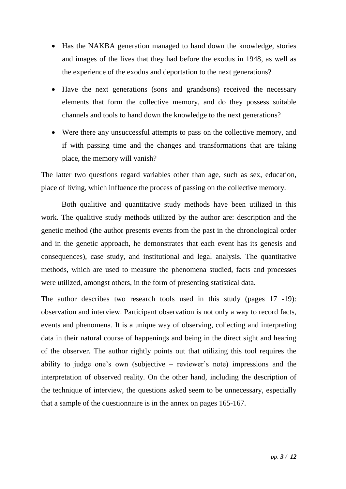- Has the NAKBA generation managed to hand down the knowledge, stories and images of the lives that they had before the exodus in 1948, as well as the experience of the exodus and deportation to the next generations?
- Have the next generations (sons and grandsons) received the necessary elements that form the collective memory, and do they possess suitable channels and tools to hand down the knowledge to the next generations?
- Were there any unsuccessful attempts to pass on the collective memory, and if with passing time and the changes and transformations that are taking place, the memory will vanish?

The latter two questions regard variables other than age, such as sex, education, place of living, which influence the process of passing on the collective memory.

Both qualitive and quantitative study methods have been utilized in this work. The qualitive study methods utilized by the author are: description and the genetic method (the author presents events from the past in the chronological order and in the genetic approach, he demonstrates that each event has its genesis and consequences), case study, and institutional and legal analysis. The quantitative methods, which are used to measure the phenomena studied, facts and processes were utilized, amongst others, in the form of presenting statistical data.

The author describes two research tools used in this study (pages 17 -19): observation and interview. Participant observation is not only a way to record facts, events and phenomena. It is a unique way of observing, collecting and interpreting data in their natural course of happenings and being in the direct sight and hearing of the observer. The author rightly points out that utilizing this tool requires the ability to judge one's own (subjective – reviewer's note) impressions and the interpretation of observed reality. On the other hand, including the description of the technique of interview, the questions asked seem to be unnecessary, especially that a sample of the questionnaire is in the annex on pages 165-167.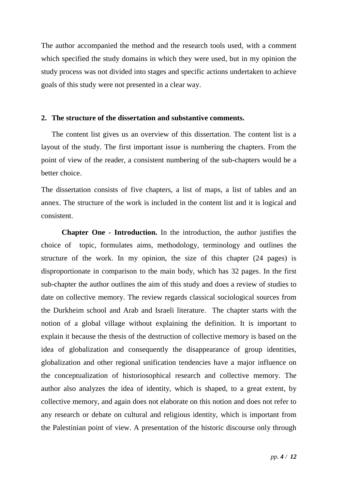The author accompanied the method and the research tools used, with a comment which specified the study domains in which they were used, but in my opinion the study process was not divided into stages and specific actions undertaken to achieve goals of this study were not presented in a clear way.

#### **2. The structure of the dissertation and substantive comments.**

The content list gives us an overview of this dissertation. The content list is a layout of the study. The first important issue is numbering the chapters. From the point of view of the reader, a consistent numbering of the sub-chapters would be a better choice.

The dissertation consists of five chapters, a list of maps, a list of tables and an annex. The structure of the work is included in the content list and it is logical and consistent.

**Chapter One - Introduction.** In the introduction, the author justifies the choice of topic, formulates aims, methodology, terminology and outlines the structure of the work. In my opinion, the size of this chapter (24 pages) is disproportionate in comparison to the main body, which has 32 pages. In the first sub-chapter the author outlines the aim of this study and does a review of studies to date on collective memory. The review regards classical sociological sources from the Durkheim school and Arab and Israeli literature. The chapter starts with the notion of a global village without explaining the definition. It is important to explain it because the thesis of the destruction of collective memory is based on the idea of globalization and consequently the disappearance of group identities, globalization and other regional unification tendencies have a major influence on the conceptualization of historiosophical research and collective memory. The author also analyzes the idea of identity, which is shaped, to a great extent, by collective memory, and again does not elaborate on this notion and does not refer to any research or debate on cultural and religious identity, which is important from the Palestinian point of view. A presentation of the historic discourse only through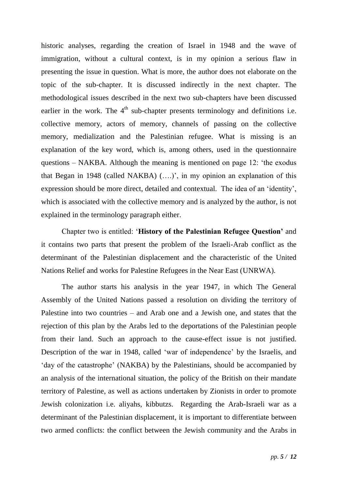historic analyses, regarding the creation of Israel in 1948 and the wave of immigration, without a cultural context, is in my opinion a serious flaw in presenting the issue in question. What is more, the author does not elaborate on the topic of the sub-chapter. It is discussed indirectly in the next chapter. The methodological issues described in the next two sub-chapters have been discussed earlier in the work. The  $4<sup>th</sup>$  sub-chapter presents terminology and definitions i.e. collective memory, actors of memory, channels of passing on the collective memory, medialization and the Palestinian refugee. What is missing is an explanation of the key word, which is, among others, used in the questionnaire questions – NAKBA. Although the meaning is mentioned on page 12: 'the exodus that Began in 1948 (called NAKBA) (….)', in my opinion an explanation of this expression should be more direct, detailed and contextual. The idea of an 'identity', which is associated with the collective memory and is analyzed by the author, is not explained in the terminology paragraph either.

Chapter two is entitled: '**History of the Palestinian Refugee Question'** and it contains two parts that present the problem of the Israeli-Arab conflict as the determinant of the Palestinian displacement and the characteristic of the United Nations Relief and works for Palestine Refugees in the Near East (UNRWA).

The author starts his analysis in the year 1947, in which The General Assembly of the United Nations passed a resolution on dividing the territory of Palestine into two countries – and Arab one and a Jewish one, and states that the rejection of this plan by the Arabs led to the deportations of the Palestinian people from their land. Such an approach to the cause-effect issue is not justified. Description of the war in 1948, called 'war of independence' by the Israelis, and 'day of the catastrophe' (NAKBA) by the Palestinians, should be accompanied by an analysis of the international situation, the policy of the British on their mandate territory of Palestine, as well as actions undertaken by Zionists in order to promote Jewish colonization i.e. aliyahs, kibbutzs. Regarding the Arab-Israeli war as a determinant of the Palestinian displacement, it is important to differentiate between two armed conflicts: the conflict between the Jewish community and the Arabs in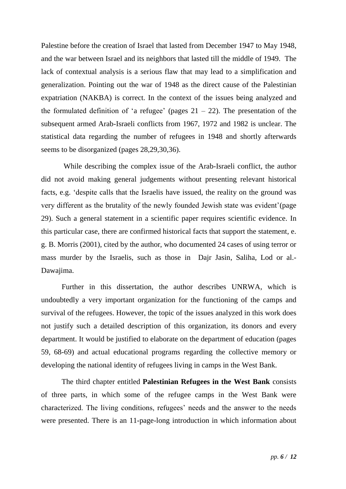Palestine before the creation of Israel that lasted from December 1947 to May 1948, and the war between Israel and its neighbors that lasted till the middle of 1949. The lack of contextual analysis is a serious flaw that may lead to a simplification and generalization. Pointing out the war of 1948 as the direct cause of the Palestinian expatriation (NAKBA) is correct. In the context of the issues being analyzed and the formulated definition of 'a refugee' (pages  $21 - 22$ ). The presentation of the subsequent armed Arab-Israeli conflicts from 1967, 1972 and 1982 is unclear. The statistical data regarding the number of refugees in 1948 and shortly afterwards seems to be disorganized (pages 28,29,30,36).

While describing the complex issue of the Arab-Israeli conflict, the author did not avoid making general judgements without presenting relevant historical facts, e.g. 'despite calls that the Israelis have issued, the reality on the ground was very different as the brutality of the newly founded Jewish state was evident'(page 29). Such a general statement in a scientific paper requires scientific evidence. In this particular case, there are confirmed historical facts that support the statement, e. g. B. Morris (2001), cited by the author, who documented 24 cases of using terror or mass murder by the Israelis, such as those in Dajr Jasin, Saliha, Lod or al.- Dawajima.

Further in this dissertation, the author describes UNRWA, which is undoubtedly a very important organization for the functioning of the camps and survival of the refugees. However, the topic of the issues analyzed in this work does not justify such a detailed description of this organization, its donors and every department. It would be justified to elaborate on the department of education (pages 59, 68-69) and actual educational programs regarding the collective memory or developing the national identity of refugees living in camps in the West Bank.

The third chapter entitled **Palestinian Refugees in the West Bank** consists of three parts, in which some of the refugee camps in the West Bank were characterized. The living conditions, refugees' needs and the answer to the needs were presented. There is an 11-page-long introduction in which information about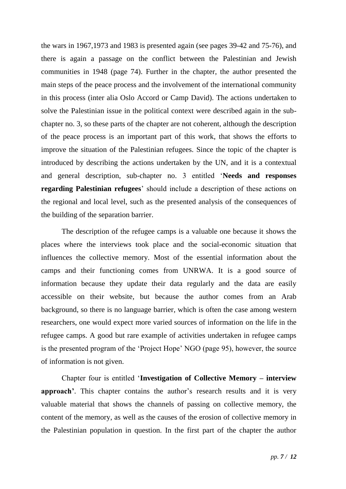the wars in 1967,1973 and 1983 is presented again (see pages 39-42 and 75-76), and there is again a passage on the conflict between the Palestinian and Jewish communities in 1948 (page 74). Further in the chapter, the author presented the main steps of the peace process and the involvement of the international community in this process (inter alia Oslo Accord or Camp David). The actions undertaken to solve the Palestinian issue in the political context were described again in the subchapter no. 3, so these parts of the chapter are not coherent, although the description of the peace process is an important part of this work, that shows the efforts to improve the situation of the Palestinian refugees. Since the topic of the chapter is introduced by describing the actions undertaken by the UN, and it is a contextual and general description, sub-chapter no. 3 entitled '**Needs and responses regarding Palestinian refugees**' should include a description of these actions on the regional and local level, such as the presented analysis of the consequences of the building of the separation barrier.

The description of the refugee camps is a valuable one because it shows the places where the interviews took place and the social-economic situation that influences the collective memory. Most of the essential information about the camps and their functioning comes from UNRWA. It is a good source of information because they update their data regularly and the data are easily accessible on their website, but because the author comes from an Arab background, so there is no language barrier, which is often the case among western researchers, one would expect more varied sources of information on the life in the refugee camps. A good but rare example of activities undertaken in refugee camps is the presented program of the 'Project Hope' NGO (page 95), however, the source of information is not given.

Chapter four is entitled '**Investigation of Collective Memory – interview approach'**. This chapter contains the author's research results and it is very valuable material that shows the channels of passing on collective memory, the content of the memory, as well as the causes of the erosion of collective memory in the Palestinian population in question. In the first part of the chapter the author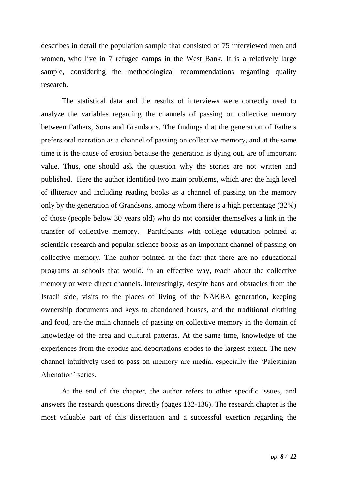describes in detail the population sample that consisted of 75 interviewed men and women, who live in 7 refugee camps in the West Bank. It is a relatively large sample, considering the methodological recommendations regarding quality research.

The statistical data and the results of interviews were correctly used to analyze the variables regarding the channels of passing on collective memory between Fathers, Sons and Grandsons. The findings that the generation of Fathers prefers oral narration as a channel of passing on collective memory, and at the same time it is the cause of erosion because the generation is dying out, are of important value. Thus, one should ask the question why the stories are not written and published. Here the author identified two main problems, which are: the high level of illiteracy and including reading books as a channel of passing on the memory only by the generation of Grandsons, among whom there is a high percentage (32%) of those (people below 30 years old) who do not consider themselves a link in the transfer of collective memory. Participants with college education pointed at scientific research and popular science books as an important channel of passing on collective memory. The author pointed at the fact that there are no educational programs at schools that would, in an effective way, teach about the collective memory or were direct channels. Interestingly, despite bans and obstacles from the Israeli side, visits to the places of living of the NAKBA generation, keeping ownership documents and keys to abandoned houses, and the traditional clothing and food, are the main channels of passing on collective memory in the domain of knowledge of the area and cultural patterns. At the same time, knowledge of the experiences from the exodus and deportations erodes to the largest extent. The new channel intuitively used to pass on memory are media, especially the 'Palestinian Alienation' series.

At the end of the chapter, the author refers to other specific issues, and answers the research questions directly (pages 132-136). The research chapter is the most valuable part of this dissertation and a successful exertion regarding the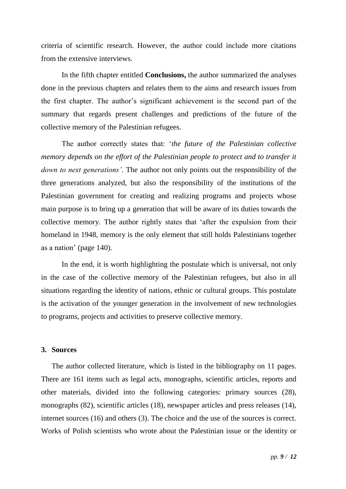criteria of scientific research. However, the author could include more citations from the extensive interviews.

In the fifth chapter entitled **Conclusions,** the author summarized the analyses done in the previous chapters and relates them to the aims and research issues from the first chapter. The author's significant achievement is the second part of the summary that regards present challenges and predictions of the future of the collective memory of the Palestinian refugees.

The author correctly states that: '*the future of the Palestinian collective memory depends on the effort of the Palestinian people to protect and to transfer it down to next generations'*. The author not only points out the responsibility of the three generations analyzed, but also the responsibility of the institutions of the Palestinian government for creating and realizing programs and projects whose main purpose is to bring up a generation that will be aware of its duties towards the collective memory. The author rightly states that 'after the expulsion from their homeland in 1948, memory is the only element that still holds Palestinians together as a nation' (page 140).

In the end, it is worth highlighting the postulate which is universal, not only in the case of the collective memory of the Palestinian refugees, but also in all situations regarding the identity of nations, ethnic or cultural groups. This postulate is the activation of the younger generation in the involvement of new technologies to programs, projects and activities to preserve collective memory.

#### **3. Sources**

The author collected literature, which is listed in the bibliography on 11 pages. There are 161 items such as legal acts, monographs, scientific articles, reports and other materials, divided into the following categories: primary sources (28), monographs (82), scientific articles (18), newspaper articles and press releases (14), internet sources (16) and others (3). The choice and the use of the sources is correct. Works of Polish scientists who wrote about the Palestinian issue or the identity or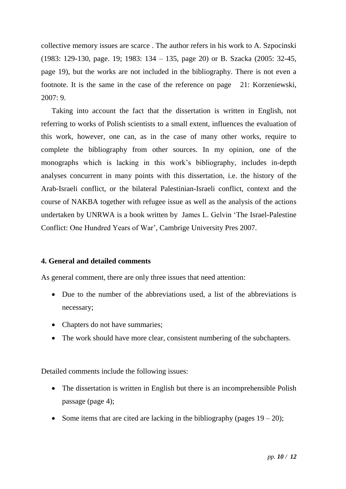collective memory issues are scarce . The author refers in his work to A. Szpocinski (1983: 129-130, page. 19; 1983: 134 – 135, page 20) or B. Szacka (2005: 32-45, page 19), but the works are not included in the bibliography. There is not even a footnote. It is the same in the case of the reference on page 21: Korzeniewski, 2007: 9.

Taking into account the fact that the dissertation is written in English, not referring to works of Polish scientists to a small extent, influences the evaluation of this work, however, one can, as in the case of many other works, require to complete the bibliography from other sources. In my opinion, one of the monographs which is lacking in this work's bibliography, includes in-depth analyses concurrent in many points with this dissertation, i.e. the history of the Arab-Israeli conflict, or the bilateral Palestinian-Israeli conflict, context and the course of NAKBA together with refugee issue as well as the analysis of the actions undertaken by UNRWA is a book written by James L. Gelvin 'The Israel-Palestine Conflict: One Hundred Years of War', Cambrige University Pres 2007.

# **4. General and detailed comments**

As general comment, there are only three issues that need attention:

- Due to the number of the abbreviations used, a list of the abbreviations is necessary;
- Chapters do not have summaries;
- The work should have more clear, consistent numbering of the subchapters.

Detailed comments include the following issues:

- The dissertation is written in English but there is an incomprehensible Polish passage (page 4);
- Some items that are cited are lacking in the bibliography (pages  $19 20$ );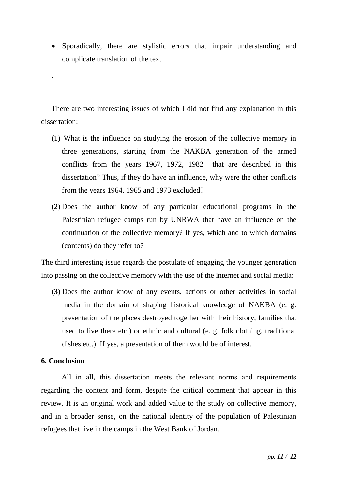• Sporadically, there are stylistic errors that impair understanding and complicate translation of the text

There are two interesting issues of which I did not find any explanation in this dissertation:

- (1) What is the influence on studying the erosion of the collective memory in three generations, starting from the NAKBA generation of the armed conflicts from the years 1967, 1972, 1982 that are described in this dissertation? Thus, if they do have an influence, why were the other conflicts from the years 1964. 1965 and 1973 excluded?
- (2) Does the author know of any particular educational programs in the Palestinian refugee camps run by UNRWA that have an influence on the continuation of the collective memory? If yes, which and to which domains (contents) do they refer to?

The third interesting issue regards the postulate of engaging the younger generation into passing on the collective memory with the use of the internet and social media:

**(3)** Does the author know of any events, actions or other activities in social media in the domain of shaping historical knowledge of NAKBA (e. g. presentation of the places destroyed together with their history, families that used to live there etc.) or ethnic and cultural (e. g. folk clothing, traditional dishes etc.). If yes, a presentation of them would be of interest.

# **6. Conclusion**

.

All in all, this dissertation meets the relevant norms and requirements regarding the content and form, despite the critical comment that appear in this review. It is an original work and added value to the study on collective memory, and in a broader sense, on the national identity of the population of Palestinian refugees that live in the camps in the West Bank of Jordan.